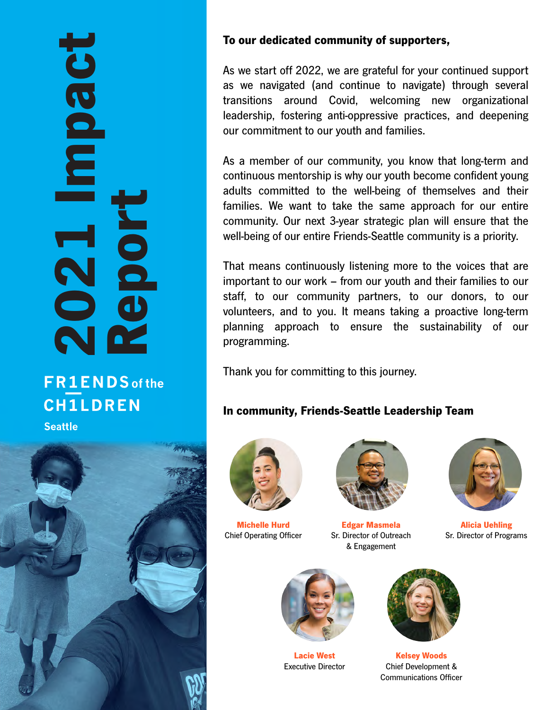## 2021 Impact **Toeduu** Report N

#### **FR1ENDS** of the **CH1LDREN Seattle**



#### To our dedicated community of supporters,

As we start off 2022, we are grateful for your continued support as we navigated (and continue to navigate) through several transitions around Covid, welcoming new organizational leadership, fostering anti-oppressive practices, and deepening our commitment to our youth and families.

As a member of our community, you know that long-term and continuous mentorship is why our youth become confident young adults committed to the well-being of themselves and their families. We want to take the same approach for our entire community. Our next 3-year strategic plan will ensure that the well-being of our entire Friends-Seattle community is a priority.

That means continuously listening more to the voices that are important to our work – from our youth and their families to our staff, to our community partners, to our donors, to our volunteers, and to you. It means taking a proactive long-term planning approach to ensure the sustainability of our programming.

Thank you for committing to this journey.

#### In community, Friends-Seattle Leadership Team



Michelle Hurd Chief Operating Officer



Edgar Masmela Sr. Director of Outreach & Engagement



Alicia Uehling Sr. Director of Programs



Lacie West Executive Director



Kelsey Woods Chief Development & Communications Officer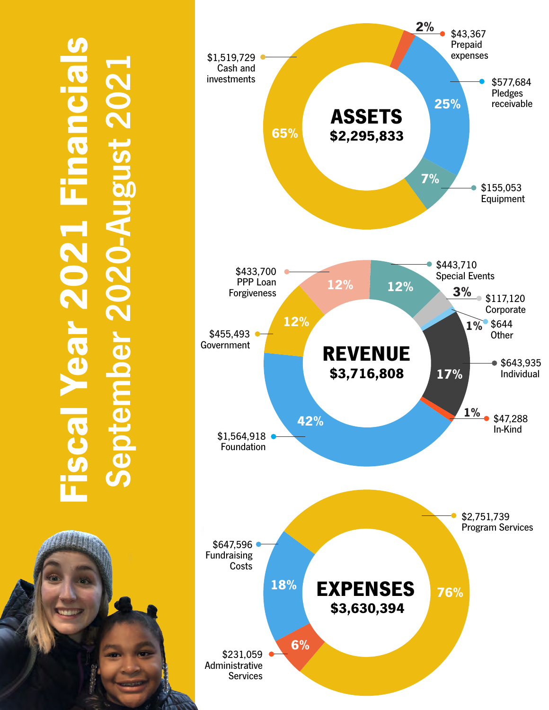# Fiscal Year 2021 Financials September 2020-August 2021 st 202: **Year 2021 Financia**



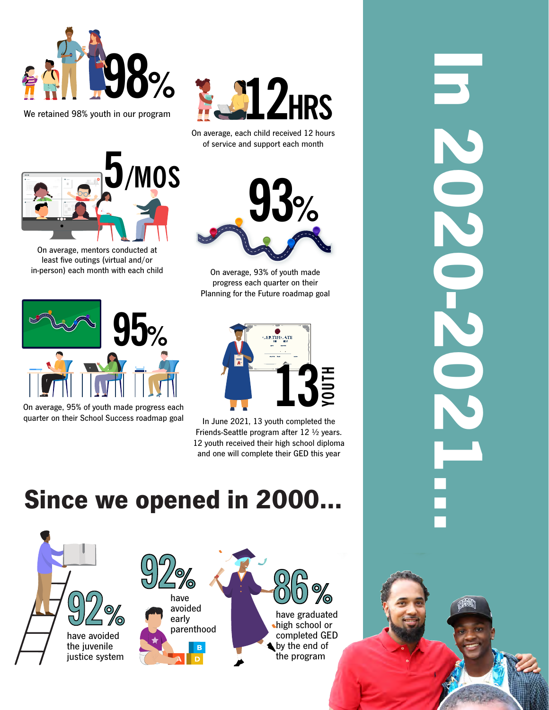



On average, each child received 12 hours of service and support each month



On average, mentors conducted at least five outings (virtual and/or in-person) each month with each child



On average, 95% of youth made progress each quarter on their School Success roadmap goal



On average, 93% of youth made progress each quarter on their Planning for the Future roadmap goal



In June 2021, 13 youth completed the Friends-Seattle program after 12 ½ years. 12 youth received their high school diploma and one will complete their GED this year

### Since we opened in 2000…



**IN 202021:1**